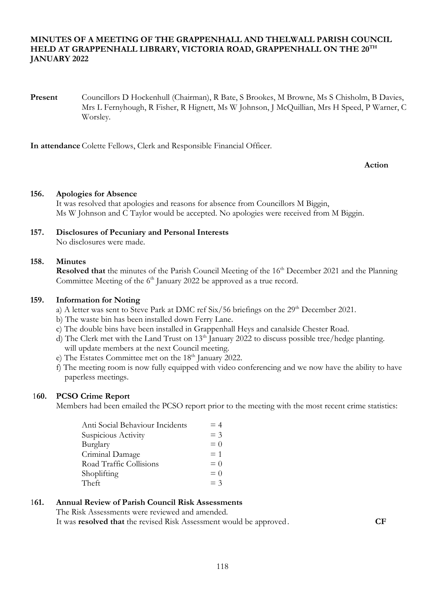# **MINUTES OF A MEETING OF THE GRAPPENHALL AND THELWALL PARISH COUNCIL HELD AT GRAPPENHALL LIBRARY, VICTORIA ROAD, GRAPPENHALL ON THE 20TH JANUARY 2022**

**Present** Councillors D Hockenhull (Chairman), R Bate, S Brookes, M Browne, Ms S Chisholm, B Davies, Mrs L Fernyhough, R Fisher, R Hignett, Ms W Johnson, J McQuillian, Mrs H Speed, P Warner, C Worsley.

**In attendance** Colette Fellows, Clerk and Responsible Financial Officer.

**Action**

# **156. Apologies for Absence**

It was resolved that apologies and reasons for absence from Councillors M Biggin, Ms W Johnson and C Taylor would be accepted. No apologies were received from M Biggin.

#### **157. Disclosures of Pecuniary and Personal Interests** No disclosures were made.

#### **158. Minutes**

Resolved that the minutes of the Parish Council Meeting of the 16<sup>th</sup> December 2021 and the Planning Committee Meeting of the 6<sup>th</sup> January 2022 be approved as a true record.

### **159. Information for Noting**

- a) A letter was sent to Steve Park at DMC ref  $\text{Six}/56$  briefings on the  $29^{\text{th}}$  December 2021.
- b) The waste bin has been installed down Ferry Lane.
- c) The double bins have been installed in Grappenhall Heys and canalside Chester Road.
- d) The Clerk met with the Land Trust on  $13<sup>th</sup>$  January 2022 to discuss possible tree/hedge planting. will update members at the next Council meeting.
- e) The Estates Committee met on the 18<sup>th</sup> January 2022.
- f) The meeting room is now fully equipped with video conferencing and we now have the ability to have paperless meetings.

# 1**60. PCSO Crime Report**

Members had been emailed the PCSO report prior to the meeting with the most recent crime statistics:

| Anti Social Behaviour Incidents | $=4$  |
|---------------------------------|-------|
| Suspicious Activity             | $=$ 3 |
| Burglary                        | $= 0$ |
| Criminal Damage                 | $= 1$ |
| Road Traffic Collisions         | $= 0$ |
| Shoplifting                     | $= 0$ |
| Theft                           | $=$ 3 |

# 1**61. Annual Review of Parish Council Risk Assessments**

The Risk Assessments were reviewed and amended. It was **resolved that** the revised Risk Assessment would be approved. **CF**